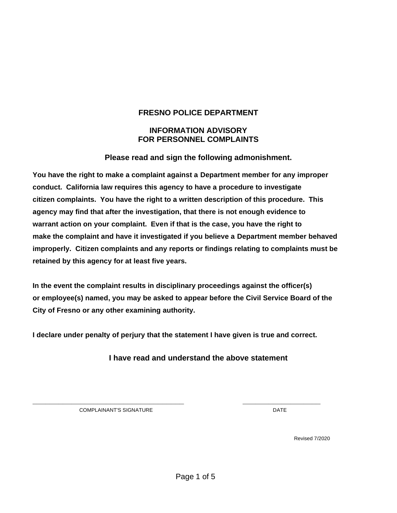### **FRESNO POLICE DEPARTMENT**

### **INFORMATION ADVISORY FOR PERSONNEL COMPLAINTS**

### **Please read and sign the following admonishment.**

**You have the right to make a complaint against a Department member for any improper conduct. California law requires this agency to have a procedure to investigate citizen complaints. You have the right to a written description of this procedure. This agency may find that after the investigation, that there is not enough evidence to warrant action on your complaint. Even if that is the case, you have the right to make the complaint and have it investigated if you believe a Department member behaved improperly. Citizen complaints and any reports or findings relating to complaints must be retained by this agency for at least five years.** 

**In the event the complaint results in disciplinary proceedings against the officer(s) or employee(s) named, you may be asked to appear before the Civil Service Board of the City of Fresno or any other examining authority.** 

**I declare under penalty of perjury that the statement I have given is true and correct.**

**\_\_\_\_\_\_\_\_\_\_\_\_\_\_\_\_\_\_\_\_\_\_\_\_\_\_\_\_\_\_\_\_\_\_\_ \_\_\_\_\_\_\_\_\_\_\_\_\_\_\_\_\_\_**

**I have read and understand the above statement**

COMPLAINANT'S SIGNATURE **Example 2018** DATE

Revised 7/2020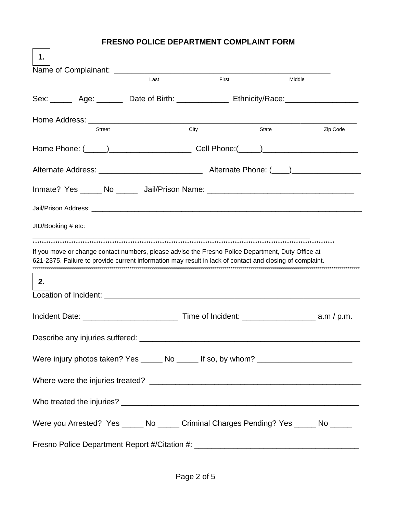### **FRESNO POLICE DEPARTMENT COMPLAINT FORM**

 $\Box$ 

| 1.                                                                                                   |      |       |        |          |
|------------------------------------------------------------------------------------------------------|------|-------|--------|----------|
|                                                                                                      | Last | First | Middle |          |
| Sex: _________ Age: ___________ Date of Birth: ___________________ Ethnicity/Race: _________________ |      |       |        |          |
|                                                                                                      |      |       |        |          |
| Street                                                                                               |      | City  | State  | Zip Code |
|                                                                                                      |      |       |        |          |
|                                                                                                      |      |       |        |          |
| Inmate? Yes ______ No _______ Jail/Prison Name: _________________________________                    |      |       |        |          |
|                                                                                                      |      |       |        |          |
| JID/Booking # etc:                                                                                   |      |       |        |          |
| 2.                                                                                                   |      |       |        |          |
|                                                                                                      |      |       |        |          |
|                                                                                                      |      |       |        |          |
| Were injury photos taken? Yes ______ No ______ If so, by whom? __________________                    |      |       |        |          |
|                                                                                                      |      |       |        |          |
|                                                                                                      |      |       |        |          |
|                                                                                                      |      |       |        |          |
| Were you Arrested? Yes ______ No ______ Criminal Charges Pending? Yes _____ No _____                 |      |       |        |          |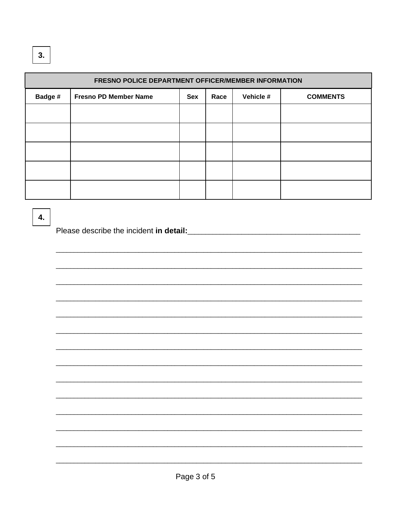| FRESNO POLICE DEPARTMENT OFFICER/MEMBER INFORMATION |                              |     |      |           |                 |  |
|-----------------------------------------------------|------------------------------|-----|------|-----------|-----------------|--|
| Badge #                                             | <b>Fresno PD Member Name</b> | Sex | Race | Vehicle # | <b>COMMENTS</b> |  |
|                                                     |                              |     |      |           |                 |  |
|                                                     |                              |     |      |           |                 |  |
|                                                     |                              |     |      |           |                 |  |
|                                                     |                              |     |      |           |                 |  |
|                                                     |                              |     |      |           |                 |  |

# $4.$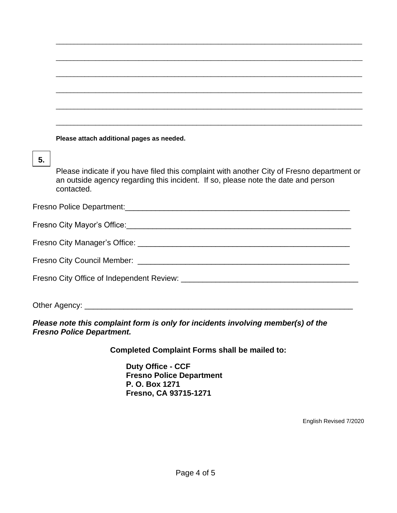## **5.**

Please indicate if you have filed this complaint with another City of Fresno department or an outside agency regarding this incident. If so, please note the date and person contacted.

\_\_\_\_\_\_\_\_\_\_\_\_\_\_\_\_\_\_\_\_\_\_\_\_\_\_\_\_\_\_\_\_\_\_\_\_\_\_\_\_\_\_\_\_\_\_\_\_\_\_\_\_\_\_\_\_\_\_\_\_\_\_\_\_\_\_\_\_\_\_\_\_\_\_\_\_\_\_\_\_\_\_\_\_\_

\_\_\_\_\_\_\_\_\_\_\_\_\_\_\_\_\_\_\_\_\_\_\_\_\_\_\_\_\_\_\_\_\_\_\_\_\_\_\_\_\_\_\_\_\_\_\_\_\_\_\_\_\_\_\_\_\_\_\_\_\_\_\_\_\_\_\_\_\_\_\_\_\_\_\_\_\_\_\_\_\_\_\_\_\_

\_\_\_\_\_\_\_\_\_\_\_\_\_\_\_\_\_\_\_\_\_\_\_\_\_\_\_\_\_\_\_\_\_\_\_\_\_\_\_\_\_\_\_\_\_\_\_\_\_\_\_\_\_\_\_\_\_\_\_\_\_\_\_\_\_\_\_\_\_\_\_\_\_\_\_\_\_\_\_\_\_\_\_\_\_

\_\_\_\_\_\_\_\_\_\_\_\_\_\_\_\_\_\_\_\_\_\_\_\_\_\_\_\_\_\_\_\_\_\_\_\_\_\_\_\_\_\_\_\_\_\_\_\_\_\_\_\_\_\_\_\_\_\_\_\_\_\_\_\_\_\_\_\_\_\_\_\_\_\_\_\_\_\_\_\_\_\_\_\_\_

\_\_\_\_\_\_\_\_\_\_\_\_\_\_\_\_\_\_\_\_\_\_\_\_\_\_\_\_\_\_\_\_\_\_\_\_\_\_\_\_\_\_\_\_\_\_\_\_\_\_\_\_\_\_\_\_\_\_\_\_\_\_\_\_\_\_\_\_\_\_\_\_\_\_\_\_\_\_\_\_\_\_\_\_\_

\_\_\_\_\_\_\_\_\_\_\_\_\_\_\_\_\_\_\_\_\_\_\_\_\_\_\_\_\_\_\_\_\_\_\_\_\_\_\_\_\_\_\_\_\_\_\_\_\_\_\_\_\_\_\_\_\_\_\_\_\_\_\_\_\_\_\_\_\_\_\_\_\_\_\_\_\_\_\_\_\_\_\_\_\_

Fresno Police Department:<br>
The Secretary Contract of the Secretary Contract of the Secretary Contract of the Secretary Contract of the Secretary Contract of the Secretary Contract of the Secretary Contract of the Secretary

Fresno City Mayor's Office:\_\_\_\_\_\_\_\_\_\_\_\_\_\_\_\_\_\_\_\_\_\_\_\_\_\_\_\_\_\_\_\_\_\_\_\_\_\_\_\_\_\_\_\_\_\_\_\_\_\_\_\_

| Fresno City Manager's Office: |  |
|-------------------------------|--|
|-------------------------------|--|

| <b>Fresno City Council Member:</b> |  |
|------------------------------------|--|
|                                    |  |

Fresno City Office of Independent Review: \_\_\_\_\_\_\_\_\_\_\_\_\_\_\_\_\_\_\_\_\_\_\_\_\_\_\_\_\_\_\_\_\_\_\_\_\_\_\_\_\_

Other Agency: \_\_\_\_\_\_\_\_\_\_\_\_\_\_\_\_\_\_\_\_\_\_\_\_\_\_\_\_\_\_\_\_\_\_\_\_\_\_\_\_\_\_\_\_\_\_\_\_\_\_\_\_\_\_\_\_\_\_\_\_\_\_

*Please note this complaint form is only for incidents involving member(s) of the Fresno Police Department.*

**Completed Complaint Forms shall be mailed to:**

**Duty Office - CCF Fresno Police Department P. O. Box 1271 Fresno, CA 93715-1271**

English Revised 7/2020